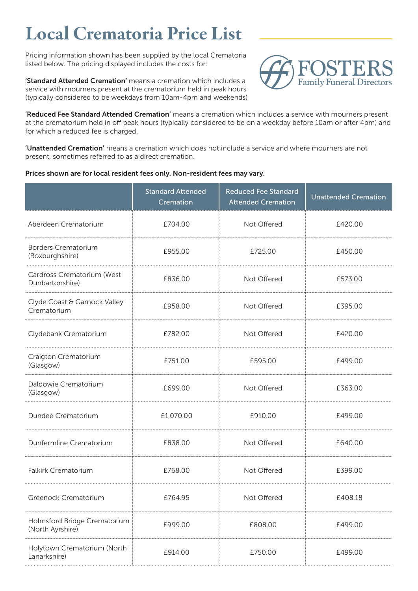## Local Crematoria Price List

Pricing information shown has been supplied by the local Crematoria listed below. The pricing displayed includes the costs for:

'Standard Attended Cremation' means a cremation which includes a service with mourners present at the crematorium held in peak hours (typically considered to be weekdays from 10am-4pm and weekends)



'Reduced Fee Standard Attended Cremation' means a cremation which includes a service with mourners present at the crematorium held in off peak hours (typically considered to be on a weekday before 10am or after 4pm) and for which a reduced fee is charged.

'Unattended Cremation' means a cremation which does not include a service and where mourners are not present, sometimes referred to as a direct cremation.

## Prices shown are for local resident fees only. Non-resident fees may vary.

|                                                  | <b>Standard Attended</b><br>Cremation | <b>Reduced Fee Standard</b><br><b>Attended Cremation</b> | <b>Unattended Cremation</b> |
|--------------------------------------------------|---------------------------------------|----------------------------------------------------------|-----------------------------|
| Aberdeen Crematorium                             | £704.00                               | Not Offered                                              | £420.00                     |
| <b>Borders Crematorium</b><br>(Roxburghshire)    | £955.00                               | £725.00                                                  | £450.00                     |
| Cardross Crematorium (West<br>Dunbartonshire)    | £836.00                               | Not Offered                                              | £573.00                     |
| Clyde Coast & Garnock Valley<br>Crematorium      | £958.00                               | Not Offered                                              | £395.00                     |
| Clydebank Crematorium                            | £782.00                               | Not Offered                                              | £420.00                     |
| Craigton Crematorium<br>(Glasgow)                | £751.00                               | £595.00                                                  | £499.00                     |
| Daldowie Crematorium<br>(Glasgow)                | £699.00                               | Not Offered                                              | £363.00                     |
| Dundee Crematorium                               | £1,070.00                             | £910.00                                                  | £499.00                     |
| Dunfermline Crematorium                          | £838.00                               | Not Offered                                              | £640.00                     |
| <b>Falkirk Crematorium</b>                       | £768.00                               | Not Offered                                              | £399.00                     |
| Greenock Crematorium                             | £764.95                               | Not Offered                                              | £408.18                     |
| Holmsford Bridge Crematorium<br>(North Ayrshire) | £999.00                               | £808.00                                                  | £499.00                     |
| Holytown Crematorium (North<br>Lanarkshire)      | £914.00                               | £750.00                                                  | £499.00                     |